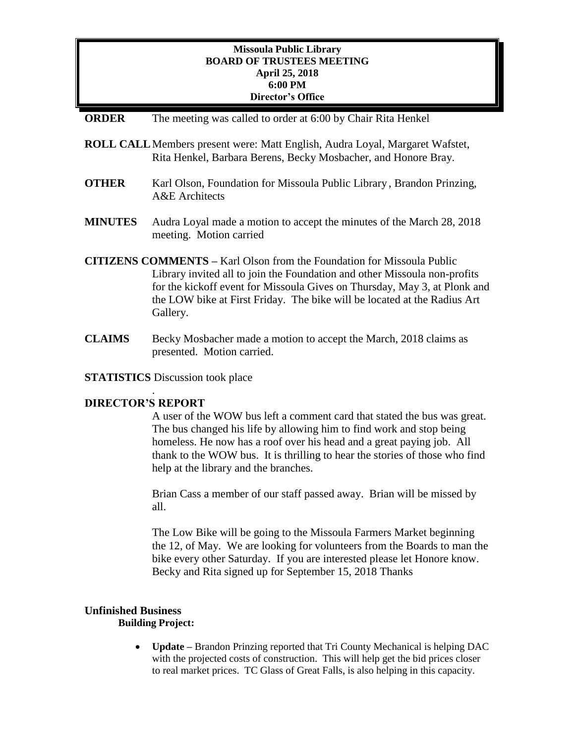# **Missoula Public Library BOARD OF TRUSTEES MEETING April 25, 2018 6:00 PM Director's Office**

- **ORDER** The meeting was called to order at 6:00 by Chair Rita Henkel
- **ROLL CALL**Members present were: Matt English, Audra Loyal, Margaret Wafstet, Rita Henkel, Barbara Berens, Becky Mosbacher, and Honore Bray.
- **OTHER** Karl Olson, Foundation for Missoula Public Library, Brandon Prinzing, A&E Architects
- **MINUTES** Audra Loyal made a motion to accept the minutes of the March 28, 2018 meeting. Motion carried
- **CITIZENS COMMENTS –** Karl Olson from the Foundation for Missoula Public Library invited all to join the Foundation and other Missoula non-profits for the kickoff event for Missoula Gives on Thursday, May 3, at Plonk and the LOW bike at First Friday. The bike will be located at the Radius Art Gallery.
- **CLAIMS** Becky Mosbacher made a motion to accept the March, 2018 claims as presented. Motion carried.
- **STATISTICS** Discussion took place

#### **DIRECTOR'S REPORT**

.

A user of the WOW bus left a comment card that stated the bus was great. The bus changed his life by allowing him to find work and stop being homeless. He now has a roof over his head and a great paying job. All thank to the WOW bus. It is thrilling to hear the stories of those who find help at the library and the branches.

Brian Cass a member of our staff passed away. Brian will be missed by all.

The Low Bike will be going to the Missoula Farmers Market beginning the 12, of May. We are looking for volunteers from the Boards to man the bike every other Saturday. If you are interested please let Honore know. Becky and Rita signed up for September 15, 2018 Thanks

#### **Unfinished Business**

**Building Project:**

 **Update –** Brandon Prinzing reported that Tri County Mechanical is helping DAC with the projected costs of construction. This will help get the bid prices closer to real market prices. TC Glass of Great Falls, is also helping in this capacity.